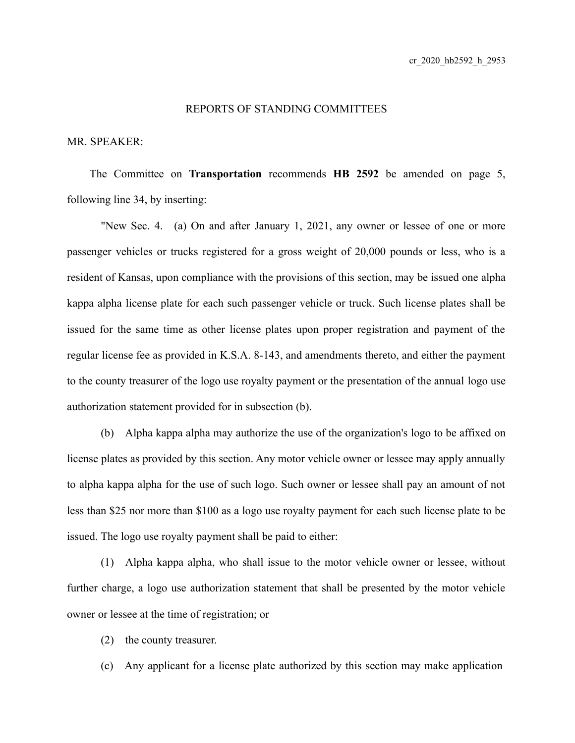## REPORTS OF STANDING COMMITTEES

## MR. SPEAKER:

The Committee on **Transportation** recommends **HB 2592** be amended on page 5, following line 34, by inserting:

"New Sec. 4. (a) On and after January 1, 2021, any owner or lessee of one or more passenger vehicles or trucks registered for a gross weight of 20,000 pounds or less, who is a resident of Kansas, upon compliance with the provisions of this section, may be issued one alpha kappa alpha license plate for each such passenger vehicle or truck. Such license plates shall be issued for the same time as other license plates upon proper registration and payment of the regular license fee as provided in K.S.A. 8-143, and amendments thereto, and either the payment to the county treasurer of the logo use royalty payment or the presentation of the annual logo use authorization statement provided for in subsection (b).

(b) Alpha kappa alpha may authorize the use of the organization's logo to be affixed on license plates as provided by this section. Any motor vehicle owner or lessee may apply annually to alpha kappa alpha for the use of such logo. Such owner or lessee shall pay an amount of not less than \$25 nor more than \$100 as a logo use royalty payment for each such license plate to be issued. The logo use royalty payment shall be paid to either:

(1) Alpha kappa alpha, who shall issue to the motor vehicle owner or lessee, without further charge, a logo use authorization statement that shall be presented by the motor vehicle owner or lessee at the time of registration; or

(2) the county treasurer.

(c) Any applicant for a license plate authorized by this section may make application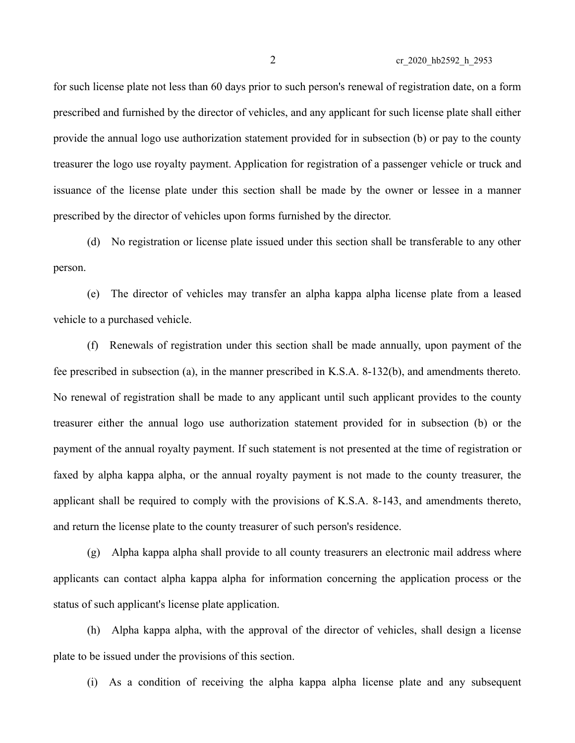for such license plate not less than 60 days prior to such person's renewal of registration date, on a form prescribed and furnished by the director of vehicles, and any applicant for such license plate shall either provide the annual logo use authorization statement provided for in subsection (b) or pay to the county treasurer the logo use royalty payment. Application for registration of a passenger vehicle or truck and issuance of the license plate under this section shall be made by the owner or lessee in a manner prescribed by the director of vehicles upon forms furnished by the director.

(d) No registration or license plate issued under this section shall be transferable to any other person.

(e) The director of vehicles may transfer an alpha kappa alpha license plate from a leased vehicle to a purchased vehicle.

(f) Renewals of registration under this section shall be made annually, upon payment of the fee prescribed in subsection (a), in the manner prescribed in K.S.A. 8-132(b), and amendments thereto. No renewal of registration shall be made to any applicant until such applicant provides to the county treasurer either the annual logo use authorization statement provided for in subsection (b) or the payment of the annual royalty payment. If such statement is not presented at the time of registration or faxed by alpha kappa alpha, or the annual royalty payment is not made to the county treasurer, the applicant shall be required to comply with the provisions of K.S.A. 8-143, and amendments thereto, and return the license plate to the county treasurer of such person's residence.

(g) Alpha kappa alpha shall provide to all county treasurers an electronic mail address where applicants can contact alpha kappa alpha for information concerning the application process or the status of such applicant's license plate application.

(h) Alpha kappa alpha, with the approval of the director of vehicles, shall design a license plate to be issued under the provisions of this section.

(i) As a condition of receiving the alpha kappa alpha license plate and any subsequent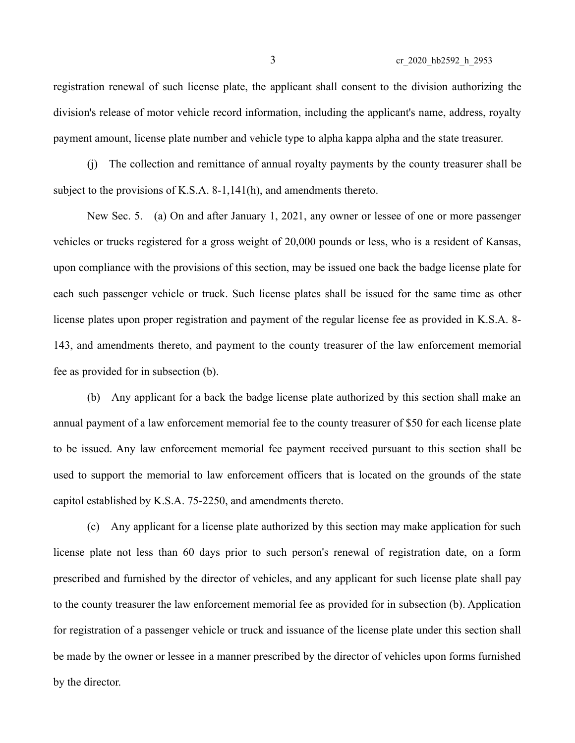registration renewal of such license plate, the applicant shall consent to the division authorizing the division's release of motor vehicle record information, including the applicant's name, address, royalty payment amount, license plate number and vehicle type to alpha kappa alpha and the state treasurer.

(j) The collection and remittance of annual royalty payments by the county treasurer shall be subject to the provisions of K.S.A. 8-1,141(h), and amendments thereto.

New Sec. 5. (a) On and after January 1, 2021, any owner or lessee of one or more passenger vehicles or trucks registered for a gross weight of 20,000 pounds or less, who is a resident of Kansas, upon compliance with the provisions of this section, may be issued one back the badge license plate for each such passenger vehicle or truck. Such license plates shall be issued for the same time as other license plates upon proper registration and payment of the regular license fee as provided in K.S.A. 8- 143, and amendments thereto, and payment to the county treasurer of the law enforcement memorial fee as provided for in subsection (b).

(b) Any applicant for a back the badge license plate authorized by this section shall make an annual payment of a law enforcement memorial fee to the county treasurer of \$50 for each license plate to be issued. Any law enforcement memorial fee payment received pursuant to this section shall be used to support the memorial to law enforcement officers that is located on the grounds of the state capitol established by K.S.A. 75-2250, and amendments thereto.

(c) Any applicant for a license plate authorized by this section may make application for such license plate not less than 60 days prior to such person's renewal of registration date, on a form prescribed and furnished by the director of vehicles, and any applicant for such license plate shall pay to the county treasurer the law enforcement memorial fee as provided for in subsection (b). Application for registration of a passenger vehicle or truck and issuance of the license plate under this section shall be made by the owner or lessee in a manner prescribed by the director of vehicles upon forms furnished by the director.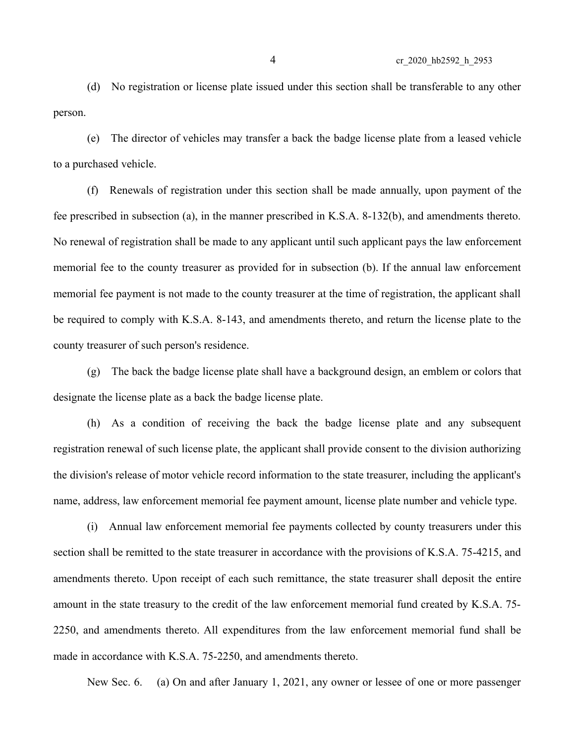(d) No registration or license plate issued under this section shall be transferable to any other person.

(e) The director of vehicles may transfer a back the badge license plate from a leased vehicle to a purchased vehicle.

(f) Renewals of registration under this section shall be made annually, upon payment of the fee prescribed in subsection (a), in the manner prescribed in K.S.A. 8-132(b), and amendments thereto. No renewal of registration shall be made to any applicant until such applicant pays the law enforcement memorial fee to the county treasurer as provided for in subsection (b). If the annual law enforcement memorial fee payment is not made to the county treasurer at the time of registration, the applicant shall be required to comply with K.S.A. 8-143, and amendments thereto, and return the license plate to the county treasurer of such person's residence.

(g) The back the badge license plate shall have a background design, an emblem or colors that designate the license plate as a back the badge license plate.

(h) As a condition of receiving the back the badge license plate and any subsequent registration renewal of such license plate, the applicant shall provide consent to the division authorizing the division's release of motor vehicle record information to the state treasurer, including the applicant's name, address, law enforcement memorial fee payment amount, license plate number and vehicle type.

(i) Annual law enforcement memorial fee payments collected by county treasurers under this section shall be remitted to the state treasurer in accordance with the provisions of K.S.A. 75-4215, and amendments thereto. Upon receipt of each such remittance, the state treasurer shall deposit the entire amount in the state treasury to the credit of the law enforcement memorial fund created by K.S.A. 75- 2250, and amendments thereto. All expenditures from the law enforcement memorial fund shall be made in accordance with K.S.A. 75-2250, and amendments thereto.

New Sec. 6. (a) On and after January 1, 2021, any owner or lessee of one or more passenger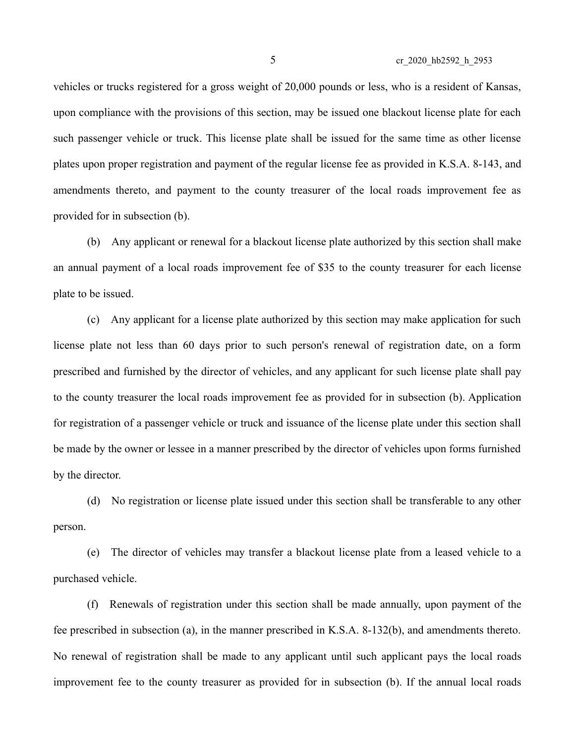vehicles or trucks registered for a gross weight of 20,000 pounds or less, who is a resident of Kansas, upon compliance with the provisions of this section, may be issued one blackout license plate for each such passenger vehicle or truck. This license plate shall be issued for the same time as other license plates upon proper registration and payment of the regular license fee as provided in K.S.A. 8-143, and amendments thereto, and payment to the county treasurer of the local roads improvement fee as provided for in subsection (b).

(b) Any applicant or renewal for a blackout license plate authorized by this section shall make an annual payment of a local roads improvement fee of \$35 to the county treasurer for each license plate to be issued.

(c) Any applicant for a license plate authorized by this section may make application for such license plate not less than 60 days prior to such person's renewal of registration date, on a form prescribed and furnished by the director of vehicles, and any applicant for such license plate shall pay to the county treasurer the local roads improvement fee as provided for in subsection (b). Application for registration of a passenger vehicle or truck and issuance of the license plate under this section shall be made by the owner or lessee in a manner prescribed by the director of vehicles upon forms furnished by the director.

(d) No registration or license plate issued under this section shall be transferable to any other person.

(e) The director of vehicles may transfer a blackout license plate from a leased vehicle to a purchased vehicle.

(f) Renewals of registration under this section shall be made annually, upon payment of the fee prescribed in subsection (a), in the manner prescribed in K.S.A. 8-132(b), and amendments thereto. No renewal of registration shall be made to any applicant until such applicant pays the local roads improvement fee to the county treasurer as provided for in subsection (b). If the annual local roads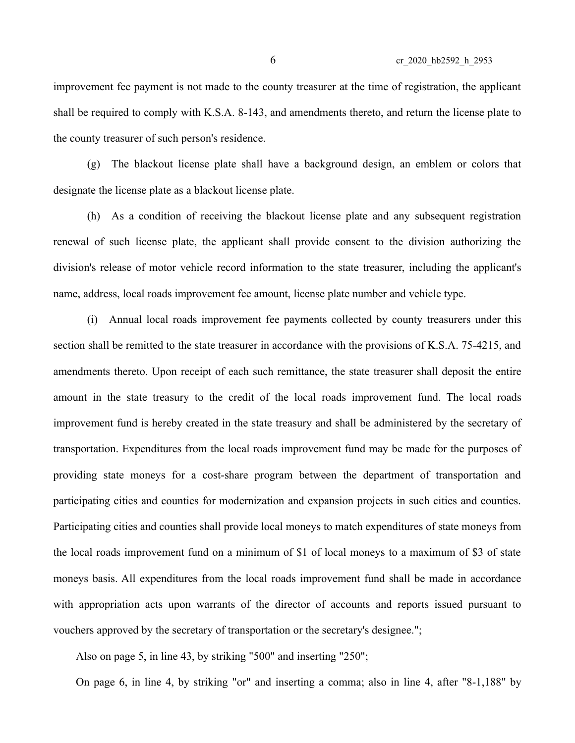improvement fee payment is not made to the county treasurer at the time of registration, the applicant shall be required to comply with K.S.A. 8-143, and amendments thereto, and return the license plate to the county treasurer of such person's residence.

(g) The blackout license plate shall have a background design, an emblem or colors that designate the license plate as a blackout license plate.

(h) As a condition of receiving the blackout license plate and any subsequent registration renewal of such license plate, the applicant shall provide consent to the division authorizing the division's release of motor vehicle record information to the state treasurer, including the applicant's name, address, local roads improvement fee amount, license plate number and vehicle type.

(i) Annual local roads improvement fee payments collected by county treasurers under this section shall be remitted to the state treasurer in accordance with the provisions of K.S.A. 75-4215, and amendments thereto. Upon receipt of each such remittance, the state treasurer shall deposit the entire amount in the state treasury to the credit of the local roads improvement fund. The local roads improvement fund is hereby created in the state treasury and shall be administered by the secretary of transportation. Expenditures from the local roads improvement fund may be made for the purposes of providing state moneys for a cost-share program between the department of transportation and participating cities and counties for modernization and expansion projects in such cities and counties. Participating cities and counties shall provide local moneys to match expenditures of state moneys from the local roads improvement fund on a minimum of \$1 of local moneys to a maximum of \$3 of state moneys basis. All expenditures from the local roads improvement fund shall be made in accordance with appropriation acts upon warrants of the director of accounts and reports issued pursuant to vouchers approved by the secretary of transportation or the secretary's designee.";

Also on page 5, in line 43, by striking "500" and inserting "250";

On page 6, in line 4, by striking "or" and inserting a comma; also in line 4, after "8-1,188" by